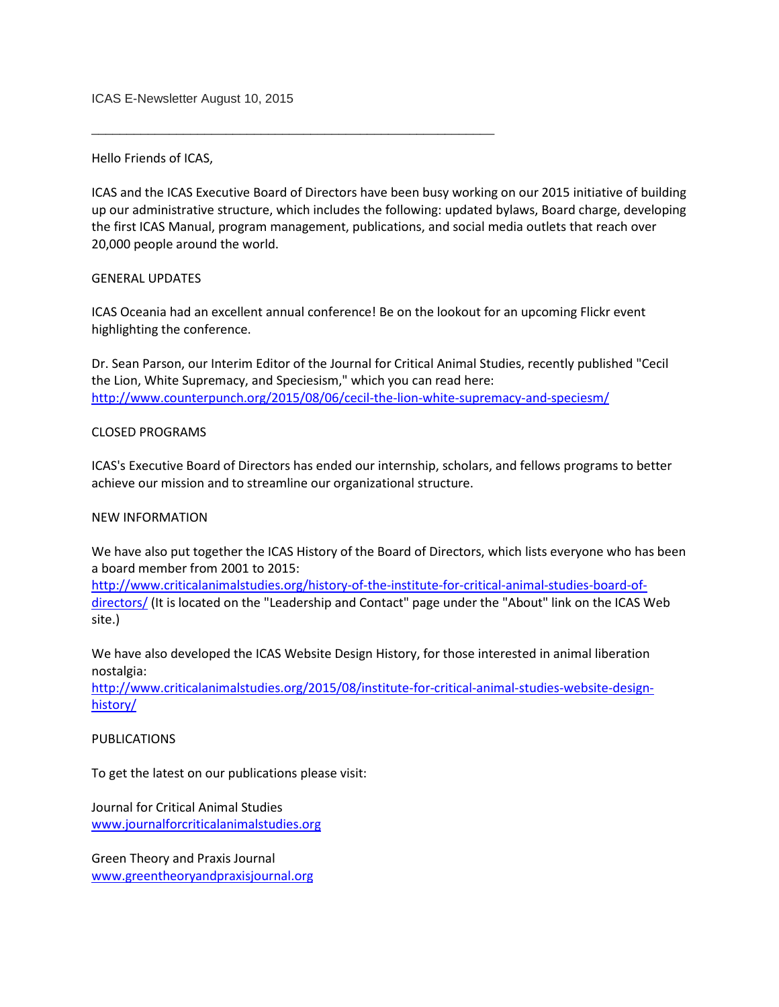ICAS E-Newsletter August 10, 2015

\_\_\_\_\_\_\_\_\_\_\_\_\_\_\_\_\_\_\_\_\_\_\_\_\_\_\_\_\_\_\_\_\_\_\_\_\_\_\_\_\_\_\_\_\_\_\_\_\_\_\_\_\_\_\_\_\_

Hello Friends of ICAS,

ICAS and the ICAS Executive Board of Directors have been busy working on our 2015 initiative of building up our administrative structure, which includes the following: updated bylaws, Board charge, developing the first ICAS Manual, program management, publications, and social media outlets that reach over 20,000 people around the world.

## GENERAL UPDATES

ICAS Oceania had an excellent annual conference! Be on the lookout for an upcoming Flickr event highlighting the conference.

Dr. Sean Parson, our Interim Editor of the Journal for Critical Animal Studies, recently published "Cecil the Lion, White Supremacy, and Speciesism," which you can read here: <http://www.counterpunch.org/2015/08/06/cecil-the-lion-white-supremacy-and-speciesm/>

## CLOSED PROGRAMS

ICAS's Executive Board of Directors has ended our internship, scholars, and fellows programs to better achieve our mission and to streamline our organizational structure.

# NEW INFORMATION

We have also put together the ICAS History of the Board of Directors, which lists everyone who has been a board member from 2001 to 2015:

[http://www.criticalanimalstudies.org/history-of-the-institute-for-critical-animal-studies-board-of](http://www.criticalanimalstudies.org/history-of-the-institute-for-critical-animal-studies-board-of-directors/)[directors/](http://www.criticalanimalstudies.org/history-of-the-institute-for-critical-animal-studies-board-of-directors/) (It is located on the "Leadership and Contact" page under the "About" link on the ICAS Web site.)

We have also developed the ICAS Website Design History, for those interested in animal liberation nostalgia:

[http://www.criticalanimalstudies.org/2015/08/institute-for-critical-animal-studies-website-design](http://www.criticalanimalstudies.org/2015/08/institute-for-critical-animal-studies-website-design-history/)[history/](http://www.criticalanimalstudies.org/2015/08/institute-for-critical-animal-studies-website-design-history/)

### PUBLICATIONS

To get the latest on our publications please visit:

Journal for Critical Animal Studies [www.journalforcriticalanimalstudies.org](http://www.journalforcriticalanimalstudies.org/)

Green Theory and Praxis Journal [www.greentheoryandpraxisjournal.org](http://www.greentheoryandpraxisjournal.org/)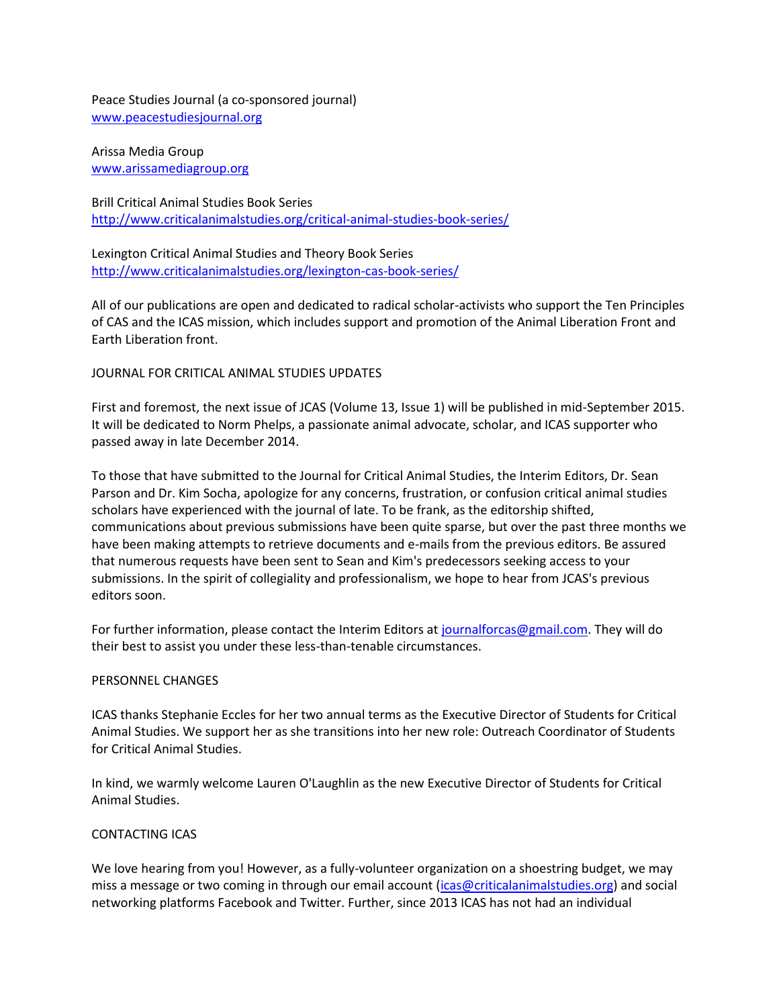Peace Studies Journal (a co-sponsored journal) [www.peacestudiesjournal.org](http://www.peacestudiesjournal.org/)

Arissa Media Group [www.arissamediagroup.org](http://www.arissamediagroup.org/)

Brill Critical Animal Studies Book Series <http://www.criticalanimalstudies.org/critical-animal-studies-book-series/>

Lexington Critical Animal Studies and Theory Book Series <http://www.criticalanimalstudies.org/lexington-cas-book-series/>

All of our publications are open and dedicated to radical scholar-activists who support the Ten Principles of CAS and the ICAS mission, which includes support and promotion of the Animal Liberation Front and Earth Liberation front.

## JOURNAL FOR CRITICAL ANIMAL STUDIES UPDATES

First and foremost, the next issue of JCAS (Volume 13, Issue 1) will be published in mid-September 2015. It will be dedicated to Norm Phelps, a passionate animal advocate, scholar, and ICAS supporter who passed away in late December 2014.

To those that have submitted to the Journal for Critical Animal Studies, the Interim Editors, Dr. Sean Parson and Dr. Kim Socha, apologize for any concerns, frustration, or confusion critical animal studies scholars have experienced with the journal of late. To be frank, as the editorship shifted, communications about previous submissions have been quite sparse, but over the past three months we have been making attempts to retrieve documents and e-mails from the previous editors. Be assured that numerous requests have been sent to Sean and Kim's predecessors seeking access to your submissions. In the spirit of collegiality and professionalism, we hope to hear from JCAS's previous editors soon.

For further information, please contact the Interim Editors at [journalforcas@gmail.com.](mailto:journalforcas@gmail.com) They will do their best to assist you under these less-than-tenable circumstances.

### PERSONNEL CHANGES

ICAS thanks Stephanie Eccles for her two annual terms as the Executive Director of Students for Critical Animal Studies. We support her as she transitions into her new role: Outreach Coordinator of Students for Critical Animal Studies.

In kind, we warmly welcome Lauren O'Laughlin as the new Executive Director of Students for Critical Animal Studies.

# CONTACTING ICAS

We love hearing from you! However, as a fully-volunteer organization on a shoestring budget, we may miss a message or two coming in through our email account [\(icas@criticalanimalstudies.org\)](mailto:icas@criticalanimalstudies.org) and social networking platforms Facebook and Twitter. Further, since 2013 ICAS has not had an individual